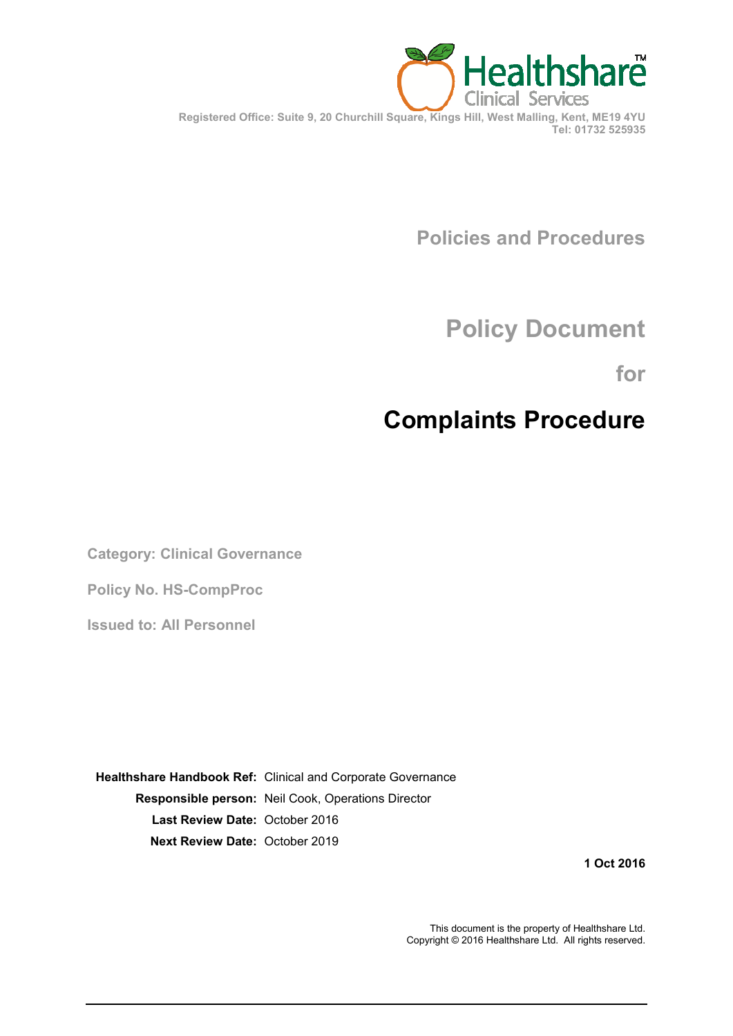

**Policies and Procedures**

# **Policy Document**

**for**

# **Complaints Procedure**

**Category: Clinical Governance**

**Policy No. HS-CompProc**

**Issued to: All Personnel**

**Healthshare Handbook Ref:** Clinical and Corporate Governance **Responsible person:** Neil Cook, Operations Director **Last Review Date:** October 2016 **Next Review Date:** October 2019

**1 Oct 2016**

This document is the property of Healthshare Ltd. Copyright © 2016 Healthshare Ltd. All rights reserved.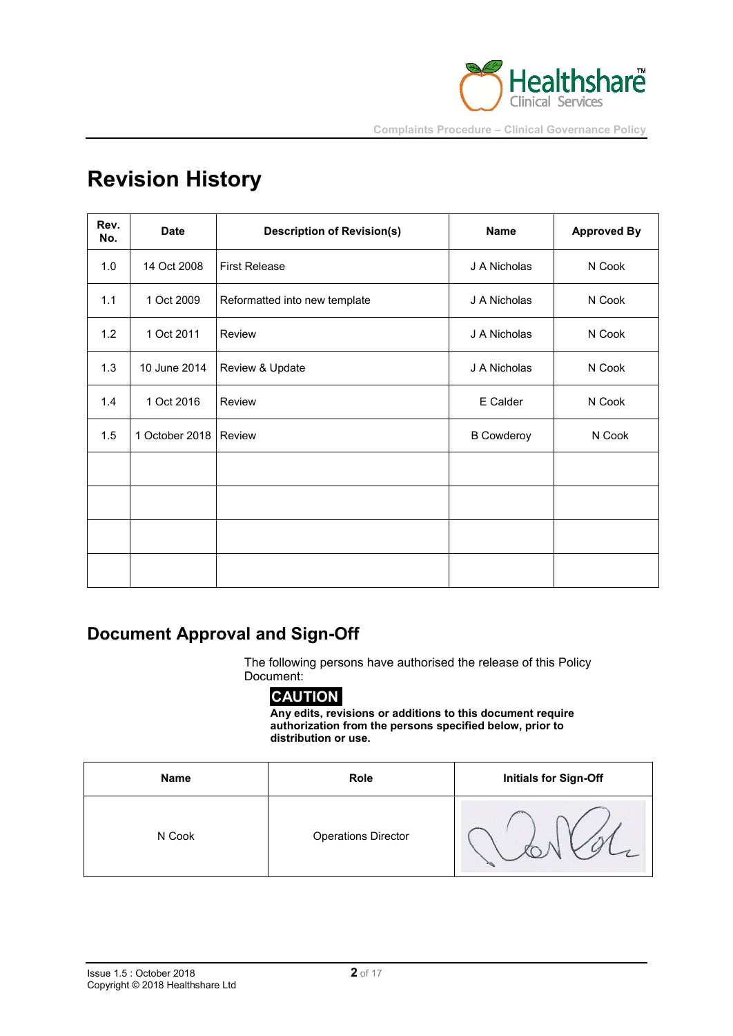

# **Revision History**

| Rev.<br>No. | <b>Date</b>             | <b>Description of Revision(s)</b> | Name              | <b>Approved By</b> |
|-------------|-------------------------|-----------------------------------|-------------------|--------------------|
| 1.0         | 14 Oct 2008             | <b>First Release</b>              | J A Nicholas      | N Cook             |
| 1.1         | 1 Oct 2009              | Reformatted into new template     | J A Nicholas      | N Cook             |
| 1.2         | 1 Oct 2011              | Review                            | J A Nicholas      | N Cook             |
| 1.3         | 10 June 2014            | Review & Update                   | J A Nicholas      | N Cook             |
| 1.4         | 1 Oct 2016              | Review                            | E Calder          | N Cook             |
| 1.5         | 1 October 2018   Review |                                   | <b>B</b> Cowderoy | N Cook             |
|             |                         |                                   |                   |                    |
|             |                         |                                   |                   |                    |
|             |                         |                                   |                   |                    |
|             |                         |                                   |                   |                    |

# **Document Approval and Sign-Off**

The following persons have authorised the release of this Policy Document:

# **CAUTION**

**Any edits, revisions or additions to this document require authorization from the persons specified below, prior to distribution or use.**

| Name   | Role                       | <b>Initials for Sign-Off</b> |
|--------|----------------------------|------------------------------|
| N Cook | <b>Operations Director</b> |                              |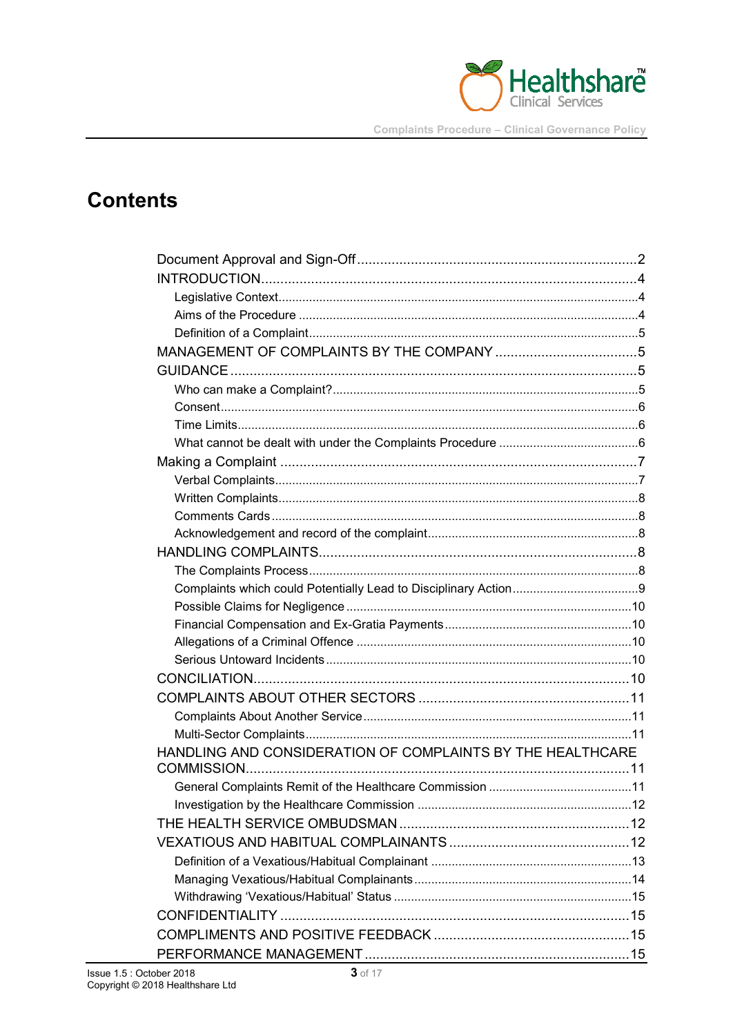

# **Contents**

| HANDLING AND CONSIDERATION OF COMPLAINTS BY THE HEALTHCARE |  |  |  |  |
|------------------------------------------------------------|--|--|--|--|
|                                                            |  |  |  |  |
|                                                            |  |  |  |  |
|                                                            |  |  |  |  |
|                                                            |  |  |  |  |
|                                                            |  |  |  |  |
|                                                            |  |  |  |  |
|                                                            |  |  |  |  |
|                                                            |  |  |  |  |
|                                                            |  |  |  |  |
|                                                            |  |  |  |  |
|                                                            |  |  |  |  |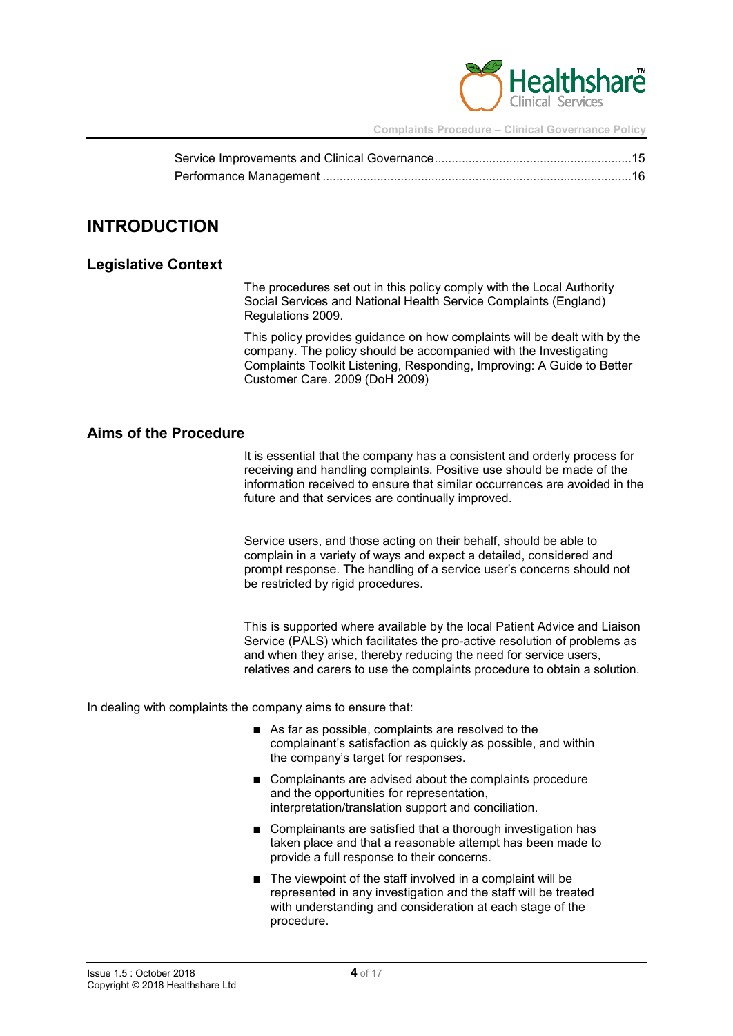

## **INTRODUCTION**

#### **Legislative Context**

The procedures set out in this policy comply with the Local Authority Social Services and National Health Service Complaints (England) Regulations 2009.

This policy provides guidance on how complaints will be dealt with by the company. The policy should be accompanied with the Investigating Complaints Toolkit Listening, Responding, Improving: A Guide to Better Customer Care. 2009 (DoH 2009)

#### **Aims of the Procedure**

It is essential that the company has a consistent and orderly process for receiving and handling complaints. Positive use should be made of the information received to ensure that similar occurrences are avoided in the future and that services are continually improved.

Service users, and those acting on their behalf, should be able to complain in a variety of ways and expect a detailed, considered and prompt response. The handling of a service user's concerns should not be restricted by rigid procedures.

This is supported where available by the local Patient Advice and Liaison Service (PALS) which facilitates the pro-active resolution of problems as and when they arise, thereby reducing the need for service users, relatives and carers to use the complaints procedure to obtain a solution.

In dealing with complaints the company aims to ensure that:

- As far as possible, complaints are resolved to the complainant's satisfaction as quickly as possible, and within the company's target for responses.
- Complainants are advised about the complaints procedure and the opportunities for representation, interpretation/translation support and conciliation.
- Complainants are satisfied that a thorough investigation has taken place and that a reasonable attempt has been made to provide a full response to their concerns.
- The viewpoint of the staff involved in a complaint will be represented in any investigation and the staff will be treated with understanding and consideration at each stage of the procedure.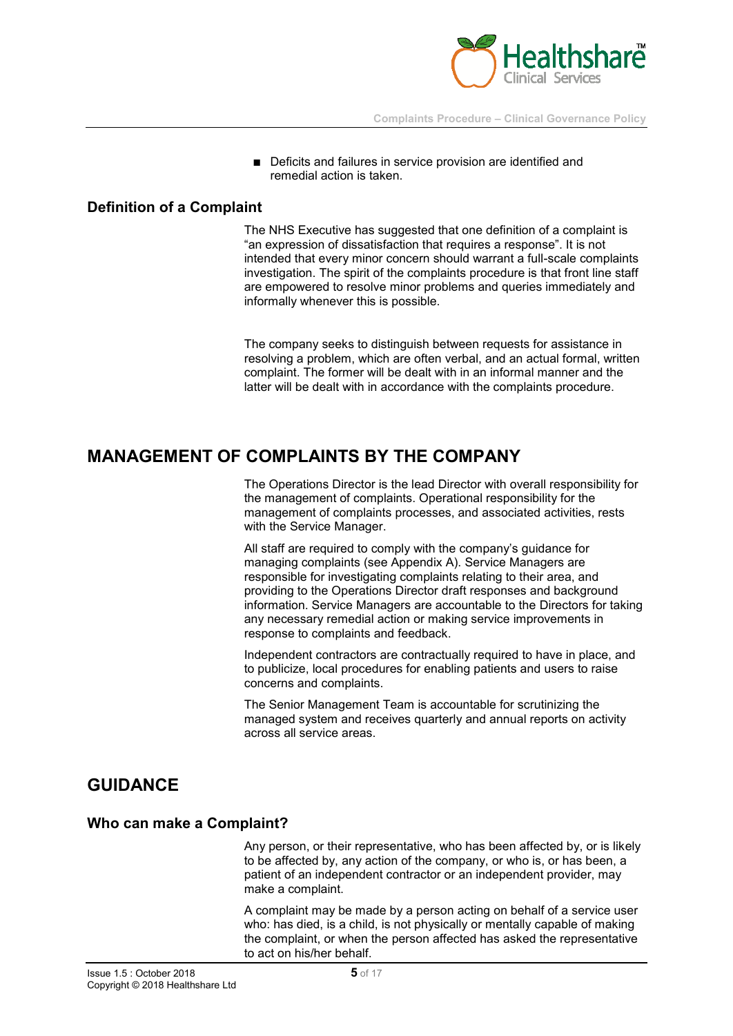

■ Deficits and failures in service provision are identified and remedial action is taken.

#### **Definition of a Complaint**

The NHS Executive has suggested that one definition of a complaint is "an expression of dissatisfaction that requires a response". It is not intended that every minor concern should warrant a full-scale complaints investigation. The spirit of the complaints procedure is that front line staff are empowered to resolve minor problems and queries immediately and informally whenever this is possible.

The company seeks to distinguish between requests for assistance in resolving a problem, which are often verbal, and an actual formal, written complaint. The former will be dealt with in an informal manner and the latter will be dealt with in accordance with the complaints procedure.

# **MANAGEMENT OF COMPLAINTS BY THE COMPANY**

The Operations Director is the lead Director with overall responsibility for the management of complaints. Operational responsibility for the management of complaints processes, and associated activities, rests with the Service Manager.

All staff are required to comply with the company's guidance for managing complaints (see Appendix A). Service Managers are responsible for investigating complaints relating to their area, and providing to the Operations Director draft responses and background information. Service Managers are accountable to the Directors for taking any necessary remedial action or making service improvements in response to complaints and feedback.

Independent contractors are contractually required to have in place, and to publicize, local procedures for enabling patients and users to raise concerns and complaints.

The Senior Management Team is accountable for scrutinizing the managed system and receives quarterly and annual reports on activity across all service areas.

# **GUIDANCE**

#### **Who can make a Complaint?**

Any person, or their representative, who has been affected by, or is likely to be affected by, any action of the company, or who is, or has been, a patient of an independent contractor or an independent provider, may make a complaint.

A complaint may be made by a person acting on behalf of a service user who: has died, is a child, is not physically or mentally capable of making the complaint, or when the person affected has asked the representative to act on his/her behalf.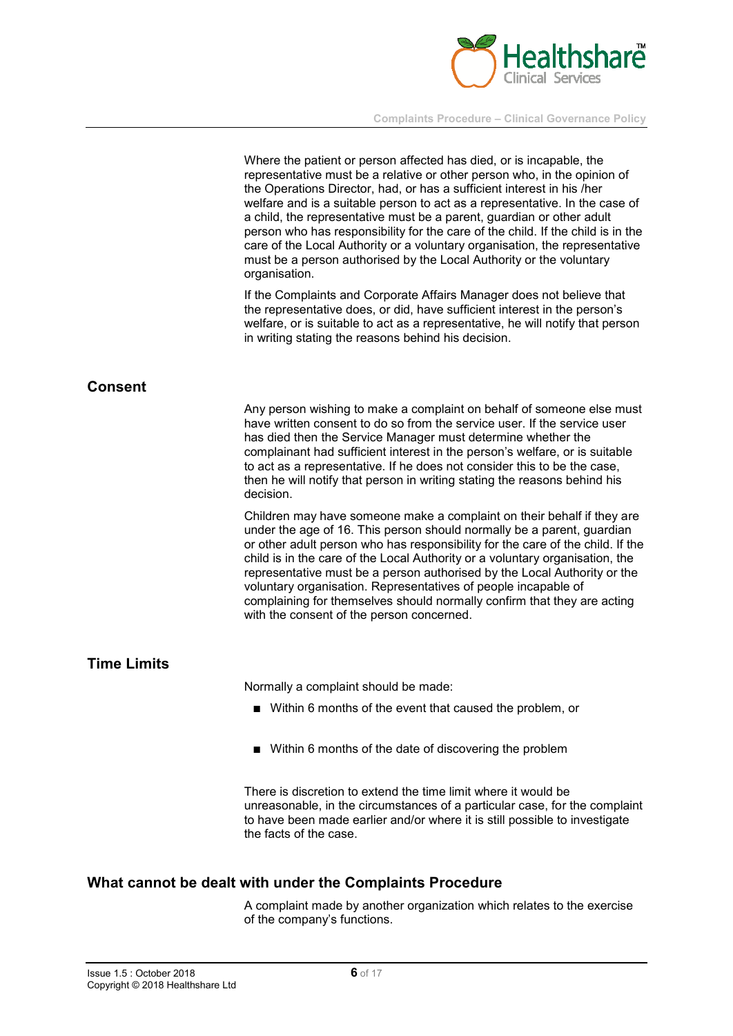

|                    | Where the patient or person affected has died, or is incapable, the<br>representative must be a relative or other person who, in the opinion of<br>the Operations Director, had, or has a sufficient interest in his /her<br>welfare and is a suitable person to act as a representative. In the case of<br>a child, the representative must be a parent, guardian or other adult<br>person who has responsibility for the care of the child. If the child is in the<br>care of the Local Authority or a voluntary organisation, the representative<br>must be a person authorised by the Local Authority or the voluntary<br>organisation. |
|--------------------|---------------------------------------------------------------------------------------------------------------------------------------------------------------------------------------------------------------------------------------------------------------------------------------------------------------------------------------------------------------------------------------------------------------------------------------------------------------------------------------------------------------------------------------------------------------------------------------------------------------------------------------------|
|                    | If the Complaints and Corporate Affairs Manager does not believe that<br>the representative does, or did, have sufficient interest in the person's<br>welfare, or is suitable to act as a representative, he will notify that person<br>in writing stating the reasons behind his decision.                                                                                                                                                                                                                                                                                                                                                 |
| <b>Consent</b>     |                                                                                                                                                                                                                                                                                                                                                                                                                                                                                                                                                                                                                                             |
|                    | Any person wishing to make a complaint on behalf of someone else must<br>have written consent to do so from the service user. If the service user<br>has died then the Service Manager must determine whether the<br>complainant had sufficient interest in the person's welfare, or is suitable<br>to act as a representative. If he does not consider this to be the case,<br>then he will notify that person in writing stating the reasons behind his<br>decision.                                                                                                                                                                      |
|                    | Children may have someone make a complaint on their behalf if they are<br>under the age of 16. This person should normally be a parent, guardian<br>or other adult person who has responsibility for the care of the child. If the<br>child is in the care of the Local Authority or a voluntary organisation, the<br>representative must be a person authorised by the Local Authority or the<br>voluntary organisation. Representatives of people incapable of<br>complaining for themselves should normally confirm that they are acting<br>with the consent of the person concerned.                                                    |
| <b>Time Limits</b> |                                                                                                                                                                                                                                                                                                                                                                                                                                                                                                                                                                                                                                             |
|                    | Normally a complaint should be made:                                                                                                                                                                                                                                                                                                                                                                                                                                                                                                                                                                                                        |
|                    | ■ Within 6 months of the event that caused the problem, or                                                                                                                                                                                                                                                                                                                                                                                                                                                                                                                                                                                  |
|                    | Within 6 months of the date of discovering the problem                                                                                                                                                                                                                                                                                                                                                                                                                                                                                                                                                                                      |
|                    | There is discretion to extend the time limit where it would be<br>unreasonable, in the circumstances of a particular case, for the complaint<br>to have been made earlier and/or where it is still possible to investigate<br>the facts of the case.                                                                                                                                                                                                                                                                                                                                                                                        |

## **What cannot be dealt with under the Complaints Procedure**

A complaint made by another organization which relates to the exercise of the company's functions.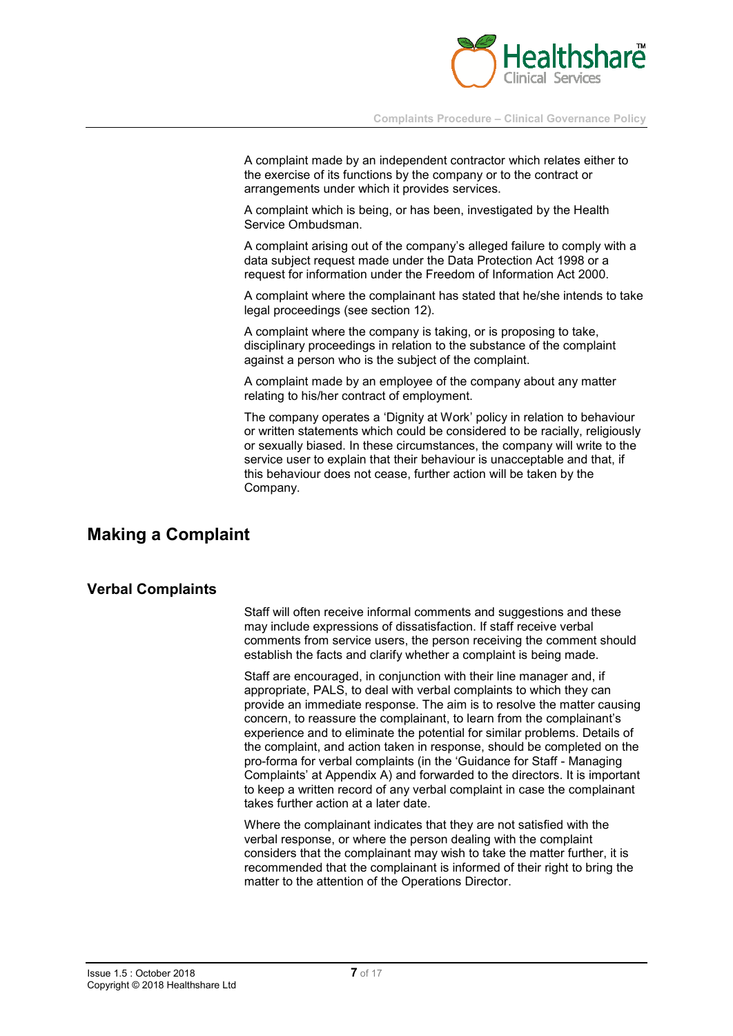

A complaint made by an independent contractor which relates either to the exercise of its functions by the company or to the contract or arrangements under which it provides services.

A complaint which is being, or has been, investigated by the Health Service Ombudsman.

A complaint arising out of the company's alleged failure to comply with a data subject request made under the Data Protection Act 1998 or a request for information under the Freedom of Information Act 2000.

A complaint where the complainant has stated that he/she intends to take legal proceedings (see section 12).

A complaint where the company is taking, or is proposing to take, disciplinary proceedings in relation to the substance of the complaint against a person who is the subject of the complaint.

A complaint made by an employee of the company about any matter relating to his/her contract of employment.

The company operates a 'Dignity at Work' policy in relation to behaviour or written statements which could be considered to be racially, religiously or sexually biased. In these circumstances, the company will write to the service user to explain that their behaviour is unacceptable and that, if this behaviour does not cease, further action will be taken by the Company.

## **Making a Complaint**

#### **Verbal Complaints**

Staff will often receive informal comments and suggestions and these may include expressions of dissatisfaction. If staff receive verbal comments from service users, the person receiving the comment should establish the facts and clarify whether a complaint is being made.

Staff are encouraged, in conjunction with their line manager and, if appropriate, PALS, to deal with verbal complaints to which they can provide an immediate response. The aim is to resolve the matter causing concern, to reassure the complainant, to learn from the complainant's experience and to eliminate the potential for similar problems. Details of the complaint, and action taken in response, should be completed on the pro-forma for verbal complaints (in the 'Guidance for Staff - Managing Complaints' at Appendix A) and forwarded to the directors. It is important to keep a written record of any verbal complaint in case the complainant takes further action at a later date.

Where the complainant indicates that they are not satisfied with the verbal response, or where the person dealing with the complaint considers that the complainant may wish to take the matter further, it is recommended that the complainant is informed of their right to bring the matter to the attention of the Operations Director.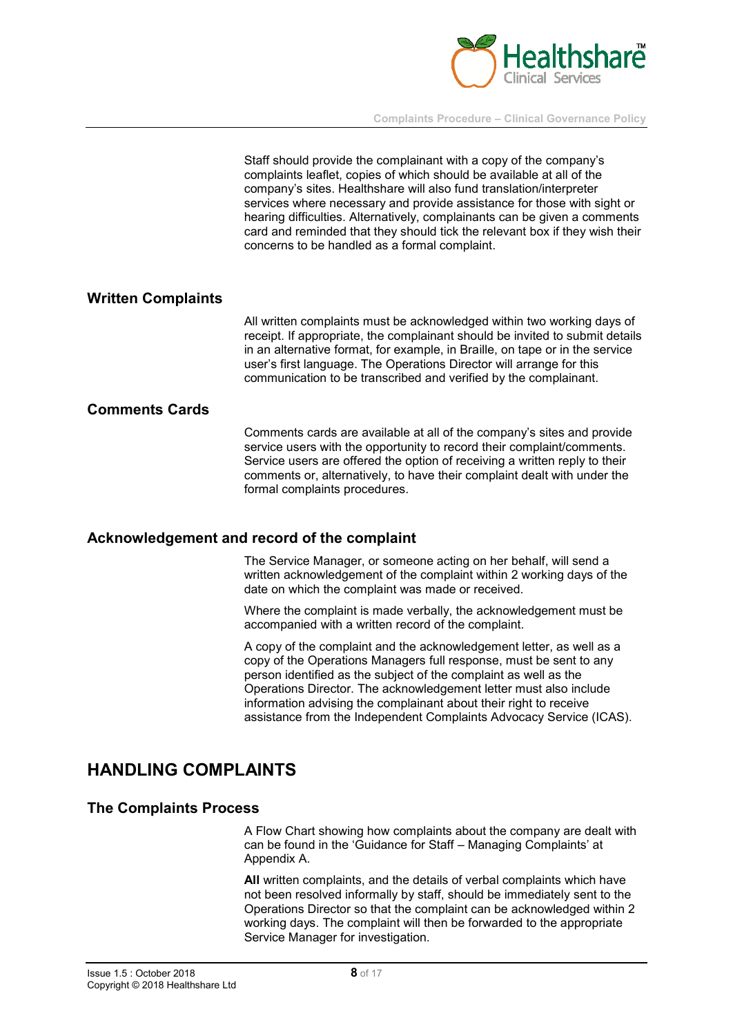

Staff should provide the complainant with a copy of the company's complaints leaflet, copies of which should be available at all of the company's sites. Healthshare will also fund translation/interpreter services where necessary and provide assistance for those with sight or hearing difficulties. Alternatively, complainants can be given a comments card and reminded that they should tick the relevant box if they wish their concerns to be handled as a formal complaint.

#### **Written Complaints**

All written complaints must be acknowledged within two working days of receipt. If appropriate, the complainant should be invited to submit details in an alternative format, for example, in Braille, on tape or in the service user's first language. The Operations Director will arrange for this communication to be transcribed and verified by the complainant.

#### **Comments Cards**

Comments cards are available at all of the company's sites and provide service users with the opportunity to record their complaint/comments. Service users are offered the option of receiving a written reply to their comments or, alternatively, to have their complaint dealt with under the formal complaints procedures.

#### **Acknowledgement and record of the complaint**

The Service Manager, or someone acting on her behalf, will send a written acknowledgement of the complaint within 2 working days of the date on which the complaint was made or received.

Where the complaint is made verbally, the acknowledgement must be accompanied with a written record of the complaint.

A copy of the complaint and the acknowledgement letter, as well as a copy of the Operations Managers full response, must be sent to any person identified as the subject of the complaint as well as the Operations Director. The acknowledgement letter must also include information advising the complainant about their right to receive assistance from the Independent Complaints Advocacy Service (ICAS).

## **HANDLING COMPLAINTS**

#### **The Complaints Process**

A Flow Chart showing how complaints about the company are dealt with can be found in the 'Guidance for Staff – Managing Complaints' at Appendix A.

**All** written complaints, and the details of verbal complaints which have not been resolved informally by staff, should be immediately sent to the Operations Director so that the complaint can be acknowledged within 2 working days. The complaint will then be forwarded to the appropriate Service Manager for investigation.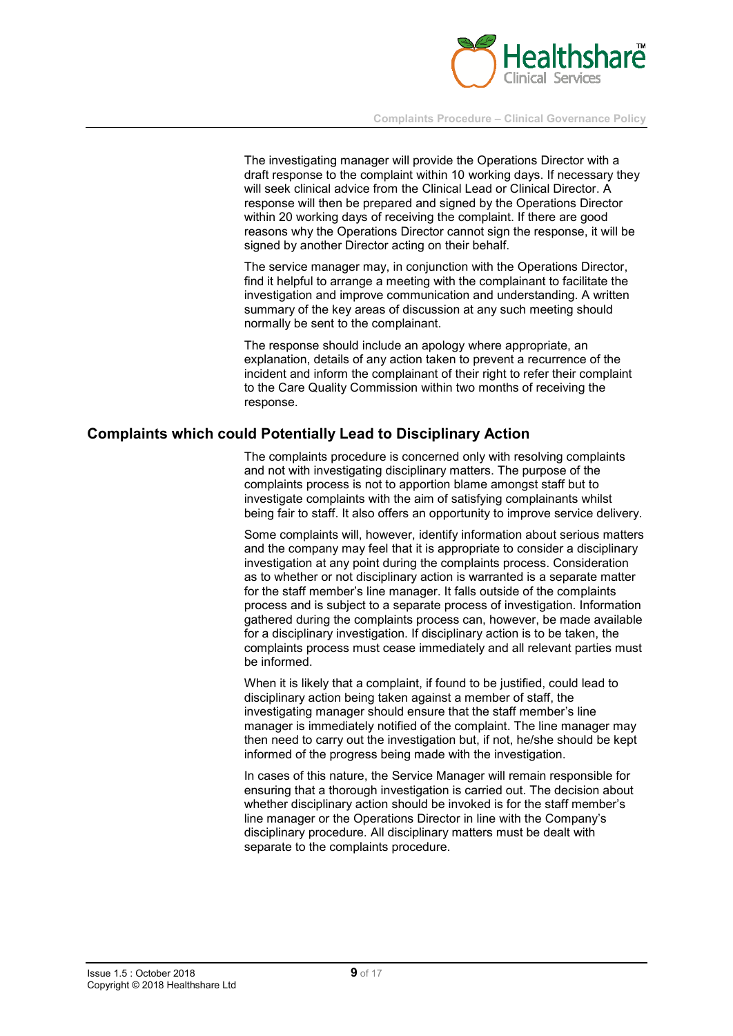

The investigating manager will provide the Operations Director with a draft response to the complaint within 10 working days. If necessary they will seek clinical advice from the Clinical Lead or Clinical Director. A response will then be prepared and signed by the Operations Director within 20 working days of receiving the complaint. If there are good reasons why the Operations Director cannot sign the response, it will be signed by another Director acting on their behalf.

The service manager may, in conjunction with the Operations Director, find it helpful to arrange a meeting with the complainant to facilitate the investigation and improve communication and understanding. A written summary of the key areas of discussion at any such meeting should normally be sent to the complainant.

The response should include an apology where appropriate, an explanation, details of any action taken to prevent a recurrence of the incident and inform the complainant of their right to refer their complaint to the Care Quality Commission within two months of receiving the response.

#### **Complaints which could Potentially Lead to Disciplinary Action**

The complaints procedure is concerned only with resolving complaints and not with investigating disciplinary matters. The purpose of the complaints process is not to apportion blame amongst staff but to investigate complaints with the aim of satisfying complainants whilst being fair to staff. It also offers an opportunity to improve service delivery.

Some complaints will, however, identify information about serious matters and the company may feel that it is appropriate to consider a disciplinary investigation at any point during the complaints process. Consideration as to whether or not disciplinary action is warranted is a separate matter for the staff member's line manager. It falls outside of the complaints process and is subject to a separate process of investigation. Information gathered during the complaints process can, however, be made available for a disciplinary investigation. If disciplinary action is to be taken, the complaints process must cease immediately and all relevant parties must be informed.

When it is likely that a complaint, if found to be justified, could lead to disciplinary action being taken against a member of staff, the investigating manager should ensure that the staff member's line manager is immediately notified of the complaint. The line manager may then need to carry out the investigation but, if not, he/she should be kept informed of the progress being made with the investigation.

In cases of this nature, the Service Manager will remain responsible for ensuring that a thorough investigation is carried out. The decision about whether disciplinary action should be invoked is for the staff member's line manager or the Operations Director in line with the Company's disciplinary procedure. All disciplinary matters must be dealt with separate to the complaints procedure.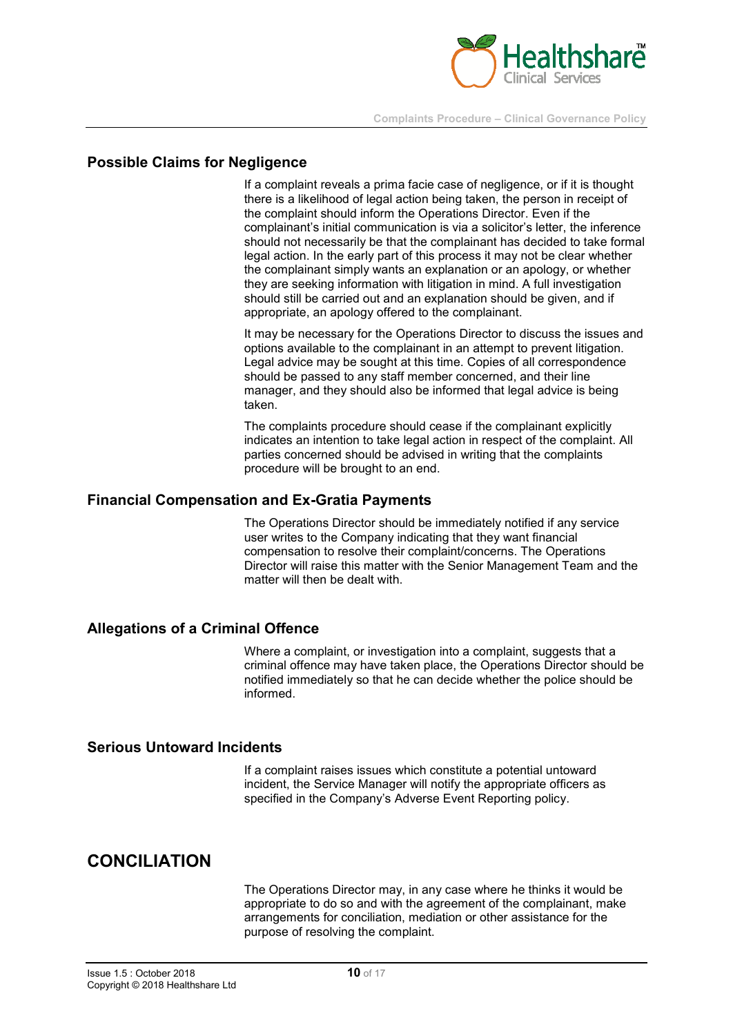

#### **Possible Claims for Negligence**

If a complaint reveals a prima facie case of negligence, or if it is thought there is a likelihood of legal action being taken, the person in receipt of the complaint should inform the Operations Director. Even if the complainant's initial communication is via a solicitor's letter, the inference should not necessarily be that the complainant has decided to take formal legal action. In the early part of this process it may not be clear whether the complainant simply wants an explanation or an apology, or whether they are seeking information with litigation in mind. A full investigation should still be carried out and an explanation should be given, and if appropriate, an apology offered to the complainant.

It may be necessary for the Operations Director to discuss the issues and options available to the complainant in an attempt to prevent litigation. Legal advice may be sought at this time. Copies of all correspondence should be passed to any staff member concerned, and their line manager, and they should also be informed that legal advice is being taken.

The complaints procedure should cease if the complainant explicitly indicates an intention to take legal action in respect of the complaint. All parties concerned should be advised in writing that the complaints procedure will be brought to an end.

#### **Financial Compensation and Ex-Gratia Payments**

The Operations Director should be immediately notified if any service user writes to the Company indicating that they want financial compensation to resolve their complaint/concerns. The Operations Director will raise this matter with the Senior Management Team and the matter will then be dealt with.

#### **Allegations of a Criminal Offence**

Where a complaint, or investigation into a complaint, suggests that a criminal offence may have taken place, the Operations Director should be notified immediately so that he can decide whether the police should be informed.

#### **Serious Untoward Incidents**

If a complaint raises issues which constitute a potential untoward incident, the Service Manager will notify the appropriate officers as specified in the Company's Adverse Event Reporting policy.

## **CONCILIATION**

The Operations Director may, in any case where he thinks it would be appropriate to do so and with the agreement of the complainant, make arrangements for conciliation, mediation or other assistance for the purpose of resolving the complaint.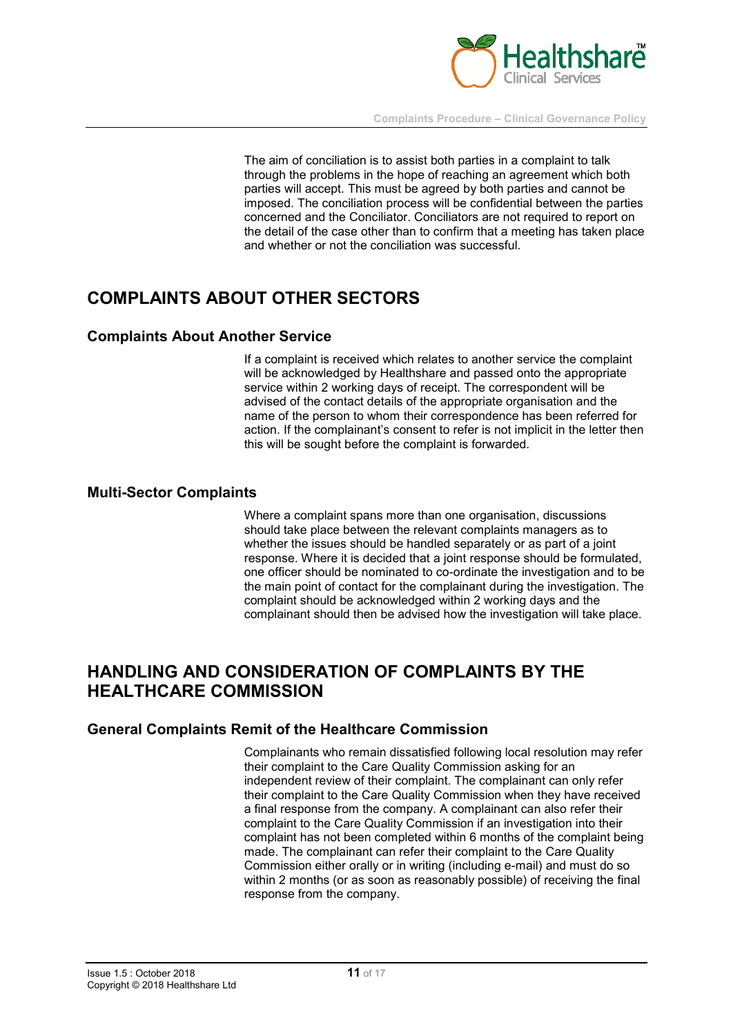

The aim of conciliation is to assist both parties in a complaint to talk through the problems in the hope of reaching an agreement which both parties will accept. This must be agreed by both parties and cannot be imposed. The conciliation process will be confidential between the parties concerned and the Conciliator. Conciliators are not required to report on the detail of the case other than to confirm that a meeting has taken place and whether or not the conciliation was successful.

# **COMPLAINTS ABOUT OTHER SECTORS**

#### **Complaints About Another Service**

If a complaint is received which relates to another service the complaint will be acknowledged by Healthshare and passed onto the appropriate service within 2 working days of receipt. The correspondent will be advised of the contact details of the appropriate organisation and the name of the person to whom their correspondence has been referred for action. If the complainant's consent to refer is not implicit in the letter then this will be sought before the complaint is forwarded.

#### **Multi-Sector Complaints**

Where a complaint spans more than one organisation, discussions should take place between the relevant complaints managers as to whether the issues should be handled separately or as part of a joint response. Where it is decided that a joint response should be formulated, one officer should be nominated to co-ordinate the investigation and to be the main point of contact for the complainant during the investigation. The complaint should be acknowledged within 2 working days and the complainant should then be advised how the investigation will take place.

# **HANDLING AND CONSIDERATION OF COMPLAINTS BY THE HEALTHCARE COMMISSION**

#### **General Complaints Remit of the Healthcare Commission**

Complainants who remain dissatisfied following local resolution may refer their complaint to the Care Quality Commission asking for an independent review of their complaint. The complainant can only refer their complaint to the Care Quality Commission when they have received a final response from the company. A complainant can also refer their complaint to the Care Quality Commission if an investigation into their complaint has not been completed within 6 months of the complaint being made. The complainant can refer their complaint to the Care Quality Commission either orally or in writing (including e-mail) and must do so within 2 months (or as soon as reasonably possible) of receiving the final response from the company.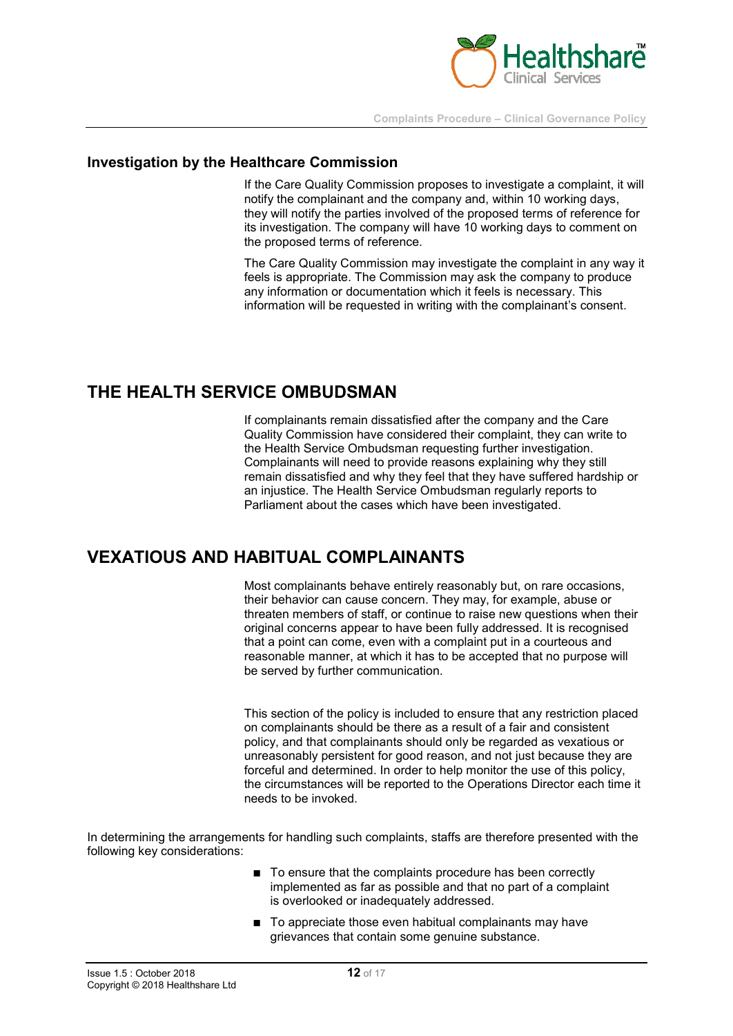

### **Investigation by the Healthcare Commission**

If the Care Quality Commission proposes to investigate a complaint, it will notify the complainant and the company and, within 10 working days, they will notify the parties involved of the proposed terms of reference for its investigation. The company will have 10 working days to comment on the proposed terms of reference.

The Care Quality Commission may investigate the complaint in any way it feels is appropriate. The Commission may ask the company to produce any information or documentation which it feels is necessary. This information will be requested in writing with the complainant's consent.

# **THE HEALTH SERVICE OMBUDSMAN**

If complainants remain dissatisfied after the company and the Care Quality Commission have considered their complaint, they can write to the Health Service Ombudsman requesting further investigation. Complainants will need to provide reasons explaining why they still remain dissatisfied and why they feel that they have suffered hardship or an injustice. The Health Service Ombudsman regularly reports to Parliament about the cases which have been investigated.

# **VEXATIOUS AND HABITUAL COMPLAINANTS**

Most complainants behave entirely reasonably but, on rare occasions, their behavior can cause concern. They may, for example, abuse or threaten members of staff, or continue to raise new questions when their original concerns appear to have been fully addressed. It is recognised that a point can come, even with a complaint put in a courteous and reasonable manner, at which it has to be accepted that no purpose will be served by further communication.

This section of the policy is included to ensure that any restriction placed on complainants should be there as a result of a fair and consistent policy, and that complainants should only be regarded as vexatious or unreasonably persistent for good reason, and not just because they are forceful and determined. In order to help monitor the use of this policy, the circumstances will be reported to the Operations Director each time it needs to be invoked.

In determining the arrangements for handling such complaints, staffs are therefore presented with the following key considerations:

- To ensure that the complaints procedure has been correctly implemented as far as possible and that no part of a complaint is overlooked or inadequately addressed.
- To appreciate those even habitual complainants may have grievances that contain some genuine substance.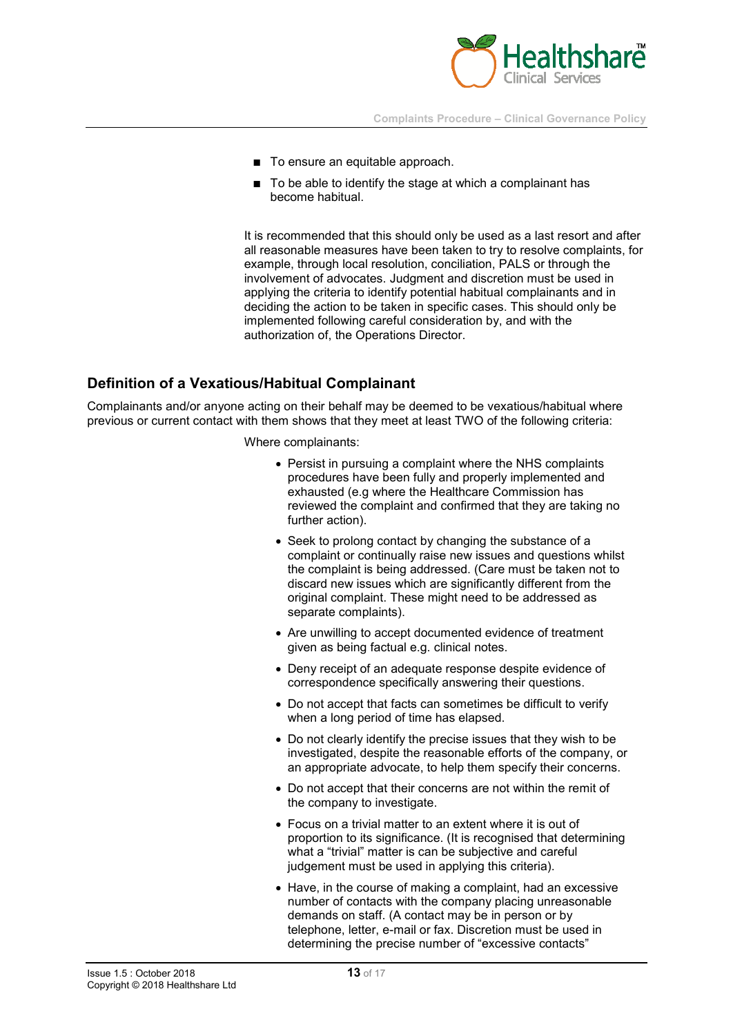

- To ensure an equitable approach.
- To be able to identify the stage at which a complainant has become habitual.

It is recommended that this should only be used as a last resort and after all reasonable measures have been taken to try to resolve complaints, for example, through local resolution, conciliation, PALS or through the involvement of advocates. Judgment and discretion must be used in applying the criteria to identify potential habitual complainants and in deciding the action to be taken in specific cases. This should only be implemented following careful consideration by, and with the authorization of, the Operations Director.

#### **Definition of a Vexatious/Habitual Complainant**

Complainants and/or anyone acting on their behalf may be deemed to be vexatious/habitual where previous or current contact with them shows that they meet at least TWO of the following criteria:

Where complainants:

- Persist in pursuing a complaint where the NHS complaints procedures have been fully and properly implemented and exhausted (e.g where the Healthcare Commission has reviewed the complaint and confirmed that they are taking no further action).
- Seek to prolong contact by changing the substance of a complaint or continually raise new issues and questions whilst the complaint is being addressed. (Care must be taken not to discard new issues which are significantly different from the original complaint. These might need to be addressed as separate complaints).
- Are unwilling to accept documented evidence of treatment given as being factual e.g. clinical notes.
- Deny receipt of an adequate response despite evidence of correspondence specifically answering their questions.
- Do not accept that facts can sometimes be difficult to verify when a long period of time has elapsed.
- Do not clearly identify the precise issues that they wish to be investigated, despite the reasonable efforts of the company, or an appropriate advocate, to help them specify their concerns.
- Do not accept that their concerns are not within the remit of the company to investigate.
- Focus on a trivial matter to an extent where it is out of proportion to its significance. (It is recognised that determining what a "trivial" matter is can be subjective and careful judgement must be used in applying this criteria).
- Have, in the course of making a complaint, had an excessive number of contacts with the company placing unreasonable demands on staff. (A contact may be in person or by telephone, letter, e-mail or fax. Discretion must be used in determining the precise number of "excessive contacts"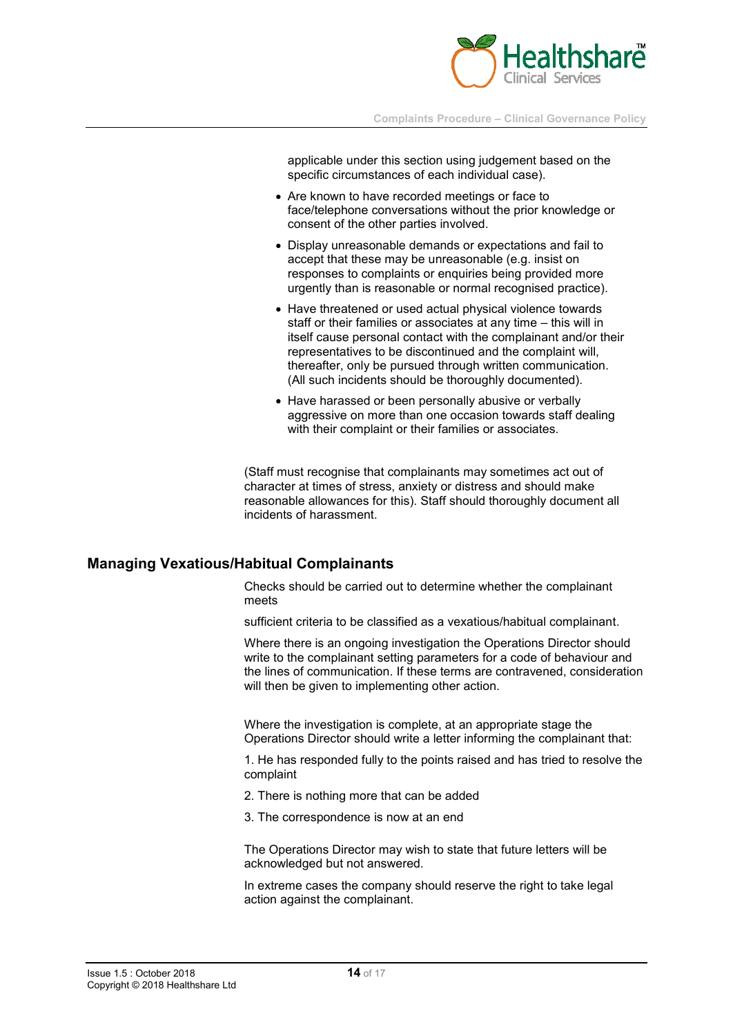

applicable under this section using judgement based on the specific circumstances of each individual case).

- Are known to have recorded meetings or face to face/telephone conversations without the prior knowledge or consent of the other parties involved.
- Display unreasonable demands or expectations and fail to accept that these may be unreasonable (e.g. insist on responses to complaints or enquiries being provided more urgently than is reasonable or normal recognised practice).
- Have threatened or used actual physical violence towards staff or their families or associates at any time – this will in itself cause personal contact with the complainant and/or their representatives to be discontinued and the complaint will, thereafter, only be pursued through written communication. (All such incidents should be thoroughly documented).
- Have harassed or been personally abusive or verbally aggressive on more than one occasion towards staff dealing with their complaint or their families or associates.

(Staff must recognise that complainants may sometimes act out of character at times of stress, anxiety or distress and should make reasonable allowances for this). Staff should thoroughly document all incidents of harassment.

#### **Managing Vexatious/Habitual Complainants**

Checks should be carried out to determine whether the complainant meets

sufficient criteria to be classified as a vexatious/habitual complainant.

Where there is an ongoing investigation the Operations Director should write to the complainant setting parameters for a code of behaviour and the lines of communication. If these terms are contravened, consideration will then be given to implementing other action.

Where the investigation is complete, at an appropriate stage the Operations Director should write a letter informing the complainant that:

1. He has responded fully to the points raised and has tried to resolve the complaint

- 2. There is nothing more that can be added
- 3. The correspondence is now at an end

The Operations Director may wish to state that future letters will be acknowledged but not answered.

In extreme cases the company should reserve the right to take legal action against the complainant.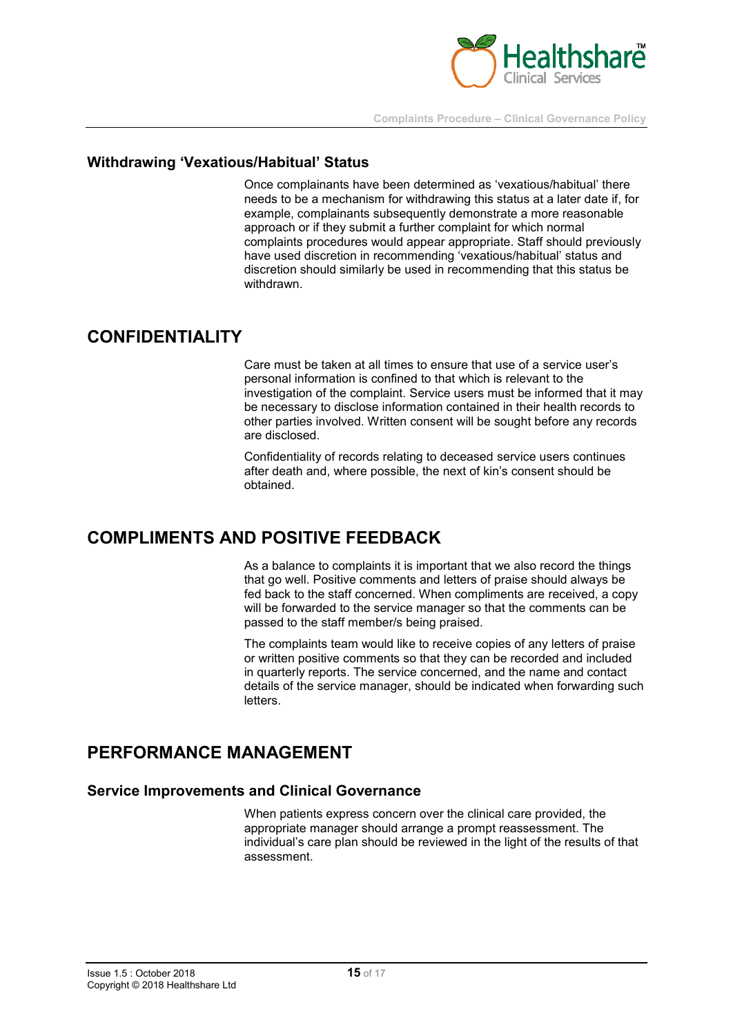

#### **Withdrawing 'Vexatious/Habitual' Status**

Once complainants have been determined as 'vexatious/habitual' there needs to be a mechanism for withdrawing this status at a later date if, for example, complainants subsequently demonstrate a more reasonable approach or if they submit a further complaint for which normal complaints procedures would appear appropriate. Staff should previously have used discretion in recommending 'vexatious/habitual' status and discretion should similarly be used in recommending that this status be withdrawn.

### **CONFIDENTIALITY**

Care must be taken at all times to ensure that use of a service user's personal information is confined to that which is relevant to the investigation of the complaint. Service users must be informed that it may be necessary to disclose information contained in their health records to other parties involved. Written consent will be sought before any records are disclosed.

Confidentiality of records relating to deceased service users continues after death and, where possible, the next of kin's consent should be obtained.

# **COMPLIMENTS AND POSITIVE FEEDBACK**

As a balance to complaints it is important that we also record the things that go well. Positive comments and letters of praise should always be fed back to the staff concerned. When compliments are received, a copy will be forwarded to the service manager so that the comments can be passed to the staff member/s being praised.

The complaints team would like to receive copies of any letters of praise or written positive comments so that they can be recorded and included in quarterly reports. The service concerned, and the name and contact details of the service manager, should be indicated when forwarding such letters.

# **PERFORMANCE MANAGEMENT**

#### **Service Improvements and Clinical Governance**

When patients express concern over the clinical care provided, the appropriate manager should arrange a prompt reassessment. The individual's care plan should be reviewed in the light of the results of that assessment.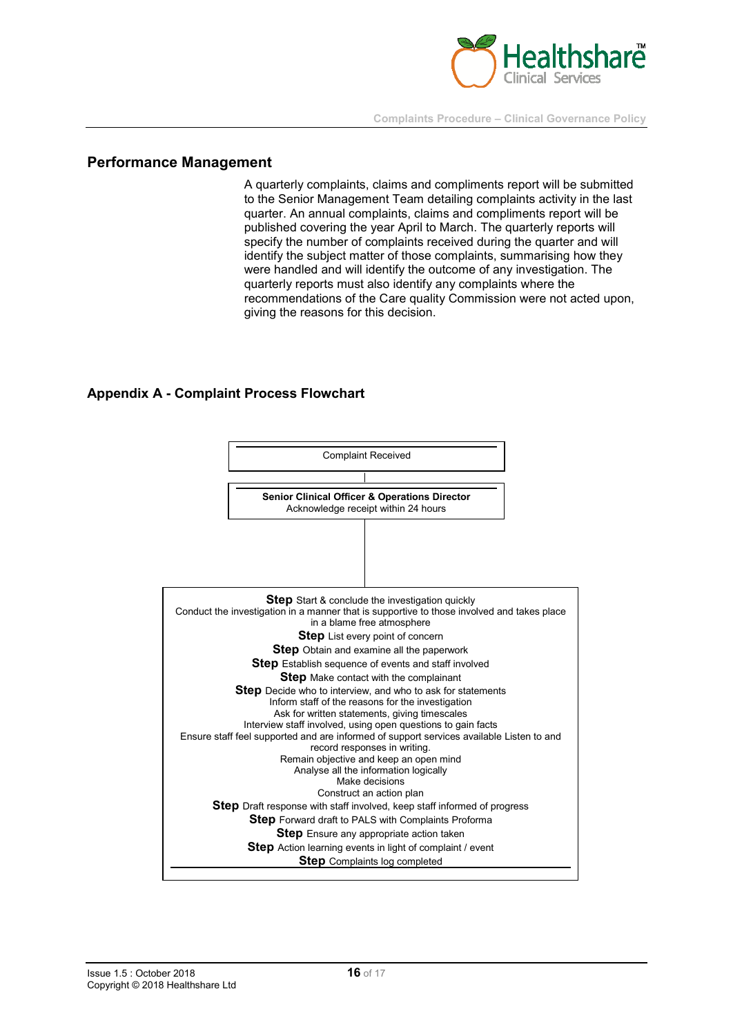

#### **Performance Management**

A quarterly complaints, claims and compliments report will be submitted to the Senior Management Team detailing complaints activity in the last quarter. An annual complaints, claims and compliments report will be published covering the year April to March. The quarterly reports will specify the number of complaints received during the quarter and will identify the subject matter of those complaints, summarising how they were handled and will identify the outcome of any investigation. The quarterly reports must also identify any complaints where the recommendations of the Care quality Commission were not acted upon, giving the reasons for this decision.

#### **Appendix A - Complaint Process Flowchart**